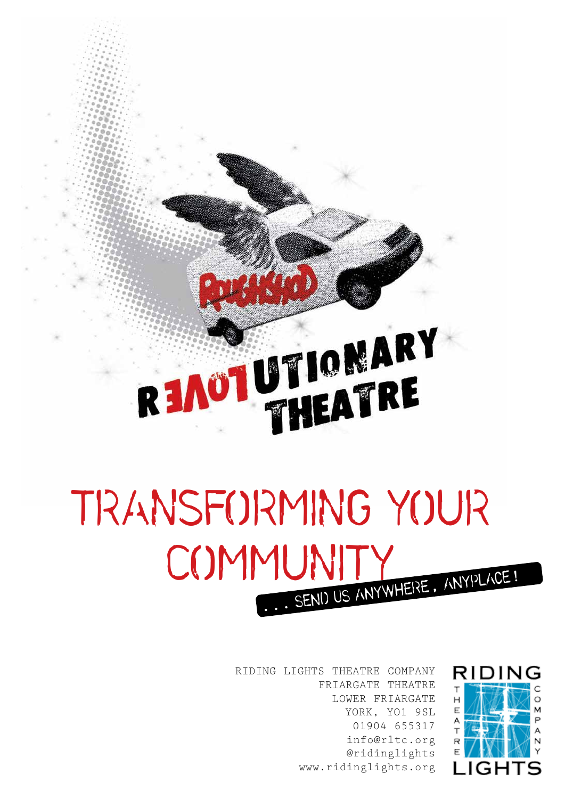# READTUTIONARY

# **TRANSFORMING YOUR COMMUNITY** ... **send us anywhere**, **anyplace**!

RIDING LIGHTS THEATRE COMPANY FRIARGATE THEATRE LOWER FRIARGATE YORK, YO1 9SL 01904 655317 info@rltc.org @ridinglights www.ridinglights.org

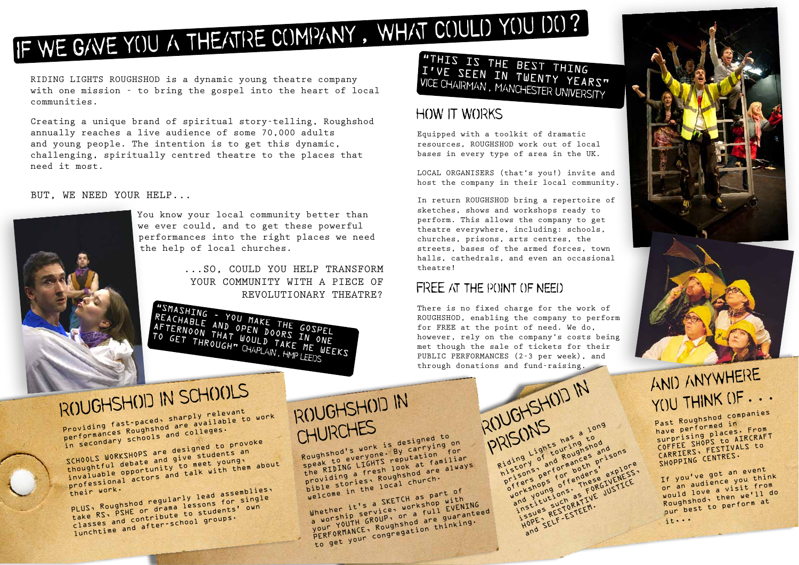#### **HOW IT WORKS**

Equipped with a toolkit of dramatic resources, ROUGHSHOD work out of local bases in every type of area in the UK.

LOCAL ORGANISERS (that's you!) invite and host the company in their local community.

In return ROUGHSHOD bring a repertoire of sketches, shows and workshops ready to perform. This allows the company to get theatre everywhere, including: schools, churches, prisons, arts centres, the streets, bases of the armed forces, town halls, cathedrals, and even an occasional theatre!

"THIS IS THE BEST THING I'VE SEEN IN TWENTY YEARS" **VICE CHAIRMAN**, **MANCHESTER UNIVERSITY**

TO GET THROUGH" **CHAPLAIN**, **HMP LEEDS**

#### **FREE at the point of need**

There is no fixed charge for the work of ROUGHSHOD, enabling the company to perform for FREE at the point of need. We do, however, rely on the company's costs being met though the sale of tickets for their PUBLIC PERFORMANCES (2-3 per week), and through donations and fund-raising.

We Lights has to den to the light of touring to and respect to the price of the price of the price of the price of the price of the price of the price of the price of the price of the price of the price of the price of the

to n's a perform both's<br>isons performeders'<br>if ershops offendersed<br>inck young ons as FORGJ

stres RESTORFEEM.<br>Saues RESTESTEEM.<br>OPE SELF-ESTEEM.

ight our ighshops and ons<br>ding v of and Roughshoppisons<br>is toons, are for both prisons<br>is performances explor<br>of fershops of fenderse explor<br>of fershops of fenderse explor

cory, and performances explore<br>fershops offernesse explore<br>fershops offernesse explore<br>orkspoung ons as FORGIVSTICE<br>and titution as IVE JUSTICE sons per for briders express, er Shops of feirneskg IVENICE<br>Kshops of Feirneskg IVENICE<br>d Young ons as FIVE JUSTICE<br>d Fitute SKESTORATIVE<br>Shope SELF ESTEEM.

If you've got an event or an audience you thin<sup>k</sup> would love a visit from Roughshod, then we'll do our best to perform at it...

**ROUGHSHOD IN PRISONS** Riding Lights has a long **CHURCHES** Roughshod's work is designed to speak to everyone. By carrying on The RIDING LIGHTS reputation for providing a fresh look at familiar bible stories, Roughshod are always welcome in the local church. Whether it's a SKETCH as part of a worship service, workshop with YOUTH GROUP, or a full EVENING PERFORMANCE, Roughshod are guaranteed to get your congregation thinking.

RIDING LIGHTS ROUGHSHOD is a dynamic young theatre company with one mission - to bring the gospel into the heart of local communities.

> "SMASHING - YOU MAKE THE GOSPEL ...SO, COULD YOU HELP TRANSFORM YOUR COMMUNITY WITH A PIECE OF REVOLUTIONARY THEATRE?

ROUGHSHOD IN SCHOOLS

The Community relevant<br>Providing fast-paced, sharply relevant<br>performances Roughshod and colleges. in secondary schools and colleges.

SCHOOLS WORKSHOPS are designed to provoke<br>thoughtful debate and give students an<br>invaluable opportunity to meet young, thoughtful debate and give students an CHOOLS will debate and yive meet young,<br>thoughtful debate and yive meet young,<br>invaluable opportunity to meet with them about<br>professional actors and talk with them about

Creating a unique brand of spiritual story-telling, Roughshod annually reaches a live audience of some 70,000 adults and young people. The intention is to get this dynamic, challenging, spiritually centred theatre to the places that need it most.

> their work. PLUS, Roughshod regularly lead assemblies, take RS, PSHE or drama lessons for single classes and contribute to students' ow<sup>n</sup> lunchtime and after-school groups.

BUT, WE NEED YOUR HELP...



You know your local community better than we ever could, and to get these powerful performances into the right places we need the help of local churches.

REACHABLE AND OPEN DOORS IN ONE AFTERNOON THAT WOULD TAKE ME WEEKS

# **if we gave you a theatre company**, **what could you do**?

### **And anywhere you think of**...

Past Roughshod companies have performed in surprising places. From COFFEE SHOPS to AIRCRAFT CARRIERS, FESTIVALS to SHOPPING CENTRES.

**ROUGHSHOD IN**